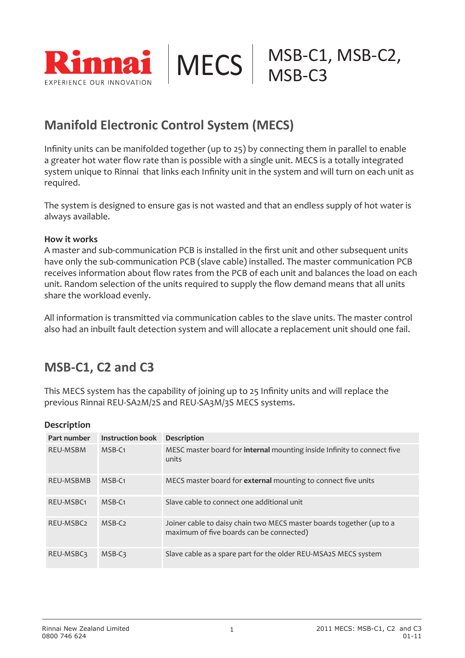

#### **Manifold Electronic Control System (MECS)**

Infinity units can be manifolded together (up to 25) by connecting them in parallel to enable a greater hot water flow rate than is possible with a single unit. MECS is a totally integrated system unique to Rinnai that links each Infinity unit in the system and will turn on each unit as required.

The system is designed to ensure gas is not wasted and that an endless supply of hot water is always available.

#### **How it works**

A master and sub-communication PCB is installed in the first unit and other subsequent units have only the sub-communication PCB (slave cable) installed. The master communication PCB receives information about flow rates from the PCB of each unit and balances the load on each unit. Random selection of the units required to supply the flow demand means that all units share the workload evenly.

All information is transmitted via communication cables to the slave units. The master control also had an inbuilt fault detection system and will allocate a replacement unit should one fail.

### **MSB-C1, C2 and C3**

This MECS system has the capability of joining up to 25 Infinity units and will replace the previous Rinnai REU-SA2M/2S and REU-SA3M/3S MECS systems.

#### **Description**

| Part number           | <b>Instruction book</b> | <b>Description</b>                                                                                               |
|-----------------------|-------------------------|------------------------------------------------------------------------------------------------------------------|
| <b>REU-MSBM</b>       | MSB-C <sub>1</sub>      | MESC master board for internal mounting inside Infinity to connect five<br>units                                 |
| <b>REU-MSBMB</b>      | $MSB-C1$                | MECS master board for <b>external</b> mounting to connect five units                                             |
| REU-MSBC <sub>1</sub> | $MSB-C1$                | Slave cable to connect one additional unit                                                                       |
| REU-MSBC <sub>2</sub> | $MSB-C2$                | Joiner cable to daisy chain two MECS master boards together (up to a<br>maximum of five boards can be connected) |
| <b>REU-MSBC3</b>      | MSB-C3                  | Slave cable as a spare part for the older REU-MSA2S MECS system                                                  |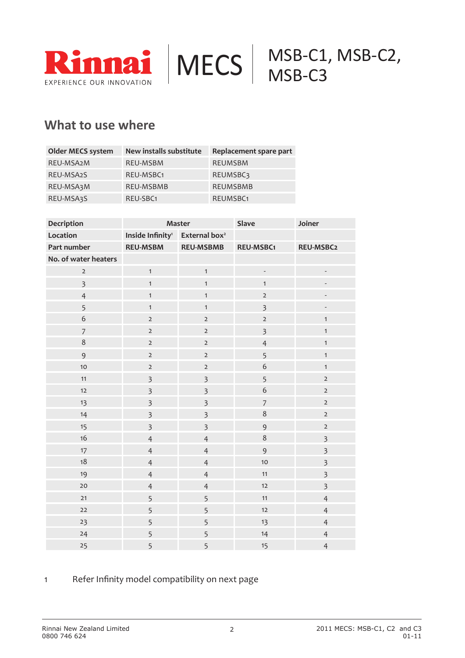

#### **What to use where**

| <b>Older MECS system</b> | New installs substitute | Replacement spare part |
|--------------------------|-------------------------|------------------------|
| REU-MSA2M                | <b>REU-MSBM</b>         | <b>REUMSBM</b>         |
| REU-MSA2S                | REU-MSBC <sub>1</sub>   | <b>REUMSBC3</b>        |
| REU-MSA3M                | <b>REU-MSBMB</b>        | <b>REUMSBMB</b>        |
| REU-MSA3S                | REU-SBC <sub>1</sub>    | REUMSBC <sub>1</sub>   |

| Decription              | Master                                                 |                         | Slave                    | Joiner                   |
|-------------------------|--------------------------------------------------------|-------------------------|--------------------------|--------------------------|
| Location                | Inside Infinity <sup>1</sup> External box <sup>2</sup> |                         |                          |                          |
| Part number             | <b>REU-MSBM</b>                                        | <b>REU-MSBMB</b>        | <b>REU-MSBC1</b>         | REU-MSBC2                |
| No. of water heaters    |                                                        |                         |                          |                          |
| $\overline{2}$          | $\mathbf{1}$                                           | $\mathbf{1}$            | $\overline{\phantom{a}}$ | $\overline{\phantom{a}}$ |
| $\overline{\mathbf{3}}$ | $\mathbf{1}$                                           | $\mathbf{1}$            | $\mathbf{1}$             |                          |
| $\overline{4}$          | $\mathbf{1}$                                           | $\mathbf{1}$            | $\mathbf{2}$             |                          |
| 5                       | $\mathbf{1}$                                           | $\mathbf{1}$            | $\overline{\mathbf{3}}$  | $\overline{\phantom{m}}$ |
| $\boldsymbol{6}$        | $\overline{2}$                                         | $\overline{2}$          | $\overline{2}$           | $\mathbf{1}$             |
| $\overline{7}$          | $\mathbf{2}$                                           | $\mathsf 2$             | $\overline{\mathbf{3}}$  | $\mathbf{1}$             |
| $\,8\,$                 | $\overline{2}$                                         | $\mathsf{2}$            | $\overline{4}$           | $\mathbf{1}$             |
| 9                       | $\overline{2}$                                         | $\mathsf{2}$            | 5                        | $\mathbf{1}$             |
| 10                      | $\overline{2}$                                         | $\mathsf{2}$            | 6                        | $\mathbf{1}$             |
| 11                      | $\overline{3}$                                         | $\overline{\mathbf{3}}$ | 5                        | $\overline{2}$           |
| 12                      | $\overline{\mathbf{3}}$                                | $\overline{\mathbf{3}}$ | $\mathbf 6$              | $\overline{2}$           |
| 13                      | $\overline{3}$                                         | $\overline{\mathbf{3}}$ | $\overline{7}$           | $\mathsf{2}$             |
| 14                      | $\overline{\mathbf{3}}$                                | $\overline{\mathbf{3}}$ | $\,8\,$                  | $\mathsf{2}$             |
| 15                      | $\overline{\mathbf{3}}$                                | $\overline{\mathbf{3}}$ | 9                        | $\mathsf{2}$             |
| 16                      | $\overline{4}$                                         | $\overline{4}$          | $\,8\,$                  | $\overline{\mathbf{3}}$  |
| 17                      | $\overline{4}$                                         | $\overline{4}$          | 9                        | $\overline{\mathbf{3}}$  |
| 18                      | $\overline{4}$                                         | $\overline{4}$          | 10                       | $\overline{\mathbf{3}}$  |
| 19                      | $\overline{4}$                                         | $\overline{4}$          | 11                       | $\overline{\mathbf{3}}$  |
| 20                      | $\overline{4}$                                         | $\overline{4}$          | 12                       | $\overline{\mathbf{3}}$  |
| 21                      | 5                                                      | 5                       | 11                       | $\overline{4}$           |
| 22                      | 5                                                      | 5                       | 12                       | $\overline{4}$           |
| 23                      | 5                                                      | 5                       | 13                       | $\overline{4}$           |
| 24                      | 5                                                      | 5                       | 14                       | $\overline{4}$           |
| 25                      | 5                                                      | 5                       | 15                       | $\overline{4}$           |

#### Refer Infinity model compatibility on next page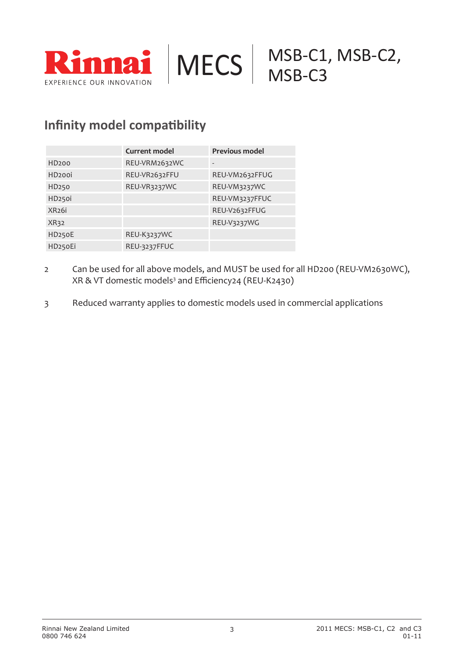



#### **Infinity model compatibility**

|                     | <b>Current model</b> | <b>Previous model</b> |
|---------------------|----------------------|-----------------------|
| HD <sub>200</sub>   | REU-VRM2632WC        |                       |
| HD <sub>200i</sub>  | REU-VR2632FFU        | REU-VM2632FFUG        |
| HD250               | REU-VR3237WC         | REU-VM3237WC          |
| HD <sub>250i</sub>  |                      | REU-VM3237FFUC        |
| XR <sub>26i</sub>   |                      | REU-V2632FFUG         |
| XR32                |                      | REU-V3237WG           |
| HD <sub>250</sub> E | REU-K3237WC          |                       |
| HD250Ei             | REU-3237FFUC         |                       |

- 2 Can be used for all above models, and MUST be used for all HD200 (REU-VM2630WC), XR & VT domestic models<sup>3</sup> and Efficiency24 (REU-K2430)
- 3 Reduced warranty applies to domestic models used in commercial applications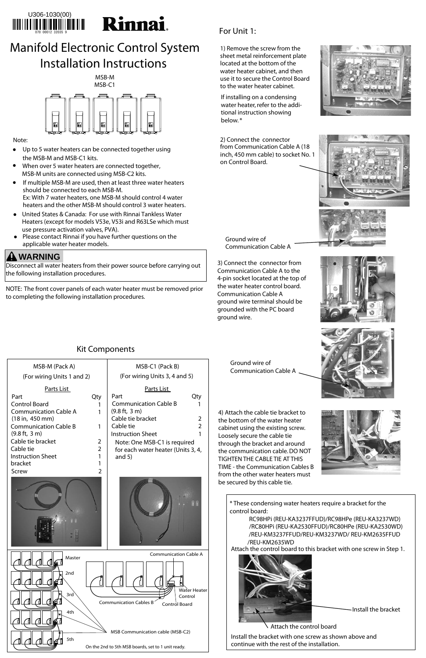#### Kit Components

### For Unit 1:

1) Remove the screw from the sheet metal reinforcement plate located at the bottom of the water heater cabinet, and then use it to secure the Control Board to the water heater cabinet.

2) Connect the connector from Communication Cable A (18 inch, 450 mm cable) to socket No. 1 on Control Board.





| MSB-M (Pack A)                                                                                                                                                                                                                                                                            | MSB-C1 (Pack B)                                                                                                                                                                                                                                                                |
|-------------------------------------------------------------------------------------------------------------------------------------------------------------------------------------------------------------------------------------------------------------------------------------------|--------------------------------------------------------------------------------------------------------------------------------------------------------------------------------------------------------------------------------------------------------------------------------|
| (For wiring Units 1 and 2)                                                                                                                                                                                                                                                                | (For wiring Units 3, 4 and 5)                                                                                                                                                                                                                                                  |
| Parts List<br>Part<br>Qty<br><b>Control Board</b><br><b>Communication Cable A</b><br>(18 in, 450 mm)<br><b>Communication Cable B</b><br>1<br>$(9.8 \text{ ft}, 3 \text{ m})$<br>Cable tie bracket<br>2<br>Cable tie<br>2<br><b>Instruction Sheet</b><br>bracket<br>$\mathcal{P}$<br>Screw | Parts List<br>Part<br>Qtv<br><b>Communication Cable B</b><br>$(9.8 \text{ ft}, 3 \text{ m})$<br>Cable tie bracket<br>$\mathcal{L}$<br>Cable tie<br>$\mathcal{P}$<br><b>Instruction Sheet</b><br>Note: One MSB-C1 is required<br>for each water heater (Units 3, 4,<br>and $5)$ |

3) Connect the connector from Communication Cable A to the 4-pin socket located at the top of the water heater control board. Communication Cable A ground wire terminal should be grounded with the PC board ground wire.

4) Attach the cable tie bracket to the bottom of the water heater cabinet using the existing screw. Loosely secure the cable tie through the bracket and around the communication cable. DO NOT TIGHTEN THE CABLE TIE AT THIS TIME - the Communication Cables B from the other water heaters must be secured by this cable tie.





If installing on a condensing water heater, refer to the additional instruction showing below. \*

## Manifold Electronic Control System Installation Instructions



#### Note:

- Up to 5 water heaters can be connected together using the MSB-M and MSB-C1 kits.
- When over 5 water heaters are connected together, MSB-M units are connected using MSB-C2 kits.
- If multiple MSB-M are used, then at least three water heaters should be connected to each MSB-M. Ex: With 7 water heaters, one MSB-M should control 4 water heaters and the other MSB-M should control 3 water heaters.
- United States & Canada: For use with Rinnai Tankless Water Heaters (except for models V53e, V53i and R63LSe which must use pressure activation valves, PVA).
- Please contact Rinnai if you have further questions on the applicable water heater models.

Disconnect all water heaters from their power source before carrying out the following installation procedures.



NOTE: The front cover panels of each water heater must be removed prior to completing the following installation procedures.

## **WARNING**



\* These condensing water heaters require a bracket for the control board:

> RC98HPi (REU-KA3237FFUD)/RC98HPe (REU-KA3237WD) /RC80HPi (REU-KA2530FFUD)/RC80HPe (REU-KA2530WD) /REU-KM3237FFUD/REU-KM3237WD/ REU-KM2635FFUD /REU-KM2635WD



Attach the control board to this bracket with one screw in Step 1.

Ground wire of Communication Cable A

Ground wire of

Communication Cable A



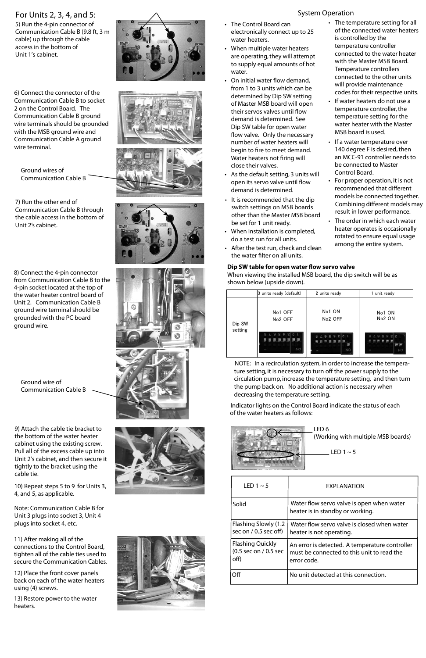#### For Units 2, 3, 4, and 5:

5) Run the 4-pin connector of Communication Cable B (9.8 ft, 3 m cable) up through the cable access in the bottom of Unit 1's cabinet.

9) Attach the cable tie bracket to the bottom of the water heater cabinet using the existing screw. Pull all of the excess cable up into Unit 2's cabinet, and then secure it tightly to the bracket using the cable tie.

10) Repeat steps 5 to 9 for Units 3, 4, and 5, as applicable.

Note: Communication Cable B for Unit 3 plugs into socket 3, Unit 4 plugs into socket 4, etc.

11) After making all of the connections to the Control Board, tighten all of the cable ties used to secure the Communication Cables.

12) Place the front cover panels back on each of the water heaters using (4) screws.

13) Restore power to the water heaters.



6) Connect the connector of the Communication Cable B to socket 2 on the Control Board. The Communication Cable B ground wire terminals should be grounded with the MSB ground wire and Communication Cable A ground wire terminal.

• The Control Board can electronically connect up to 25 water heaters.

8) Connect the 4-pin connector from Communication Cable B to the 4-pin socket located at the top of the water heater control board of Unit 2. Communication Cable B ground wire terminal should be grounded with the PC board ground wire.

- The temperature setting for all of the connected water heaters is controlled by the temperature controller connected to the water heater with the Master MSB Board. Temperature controllers connected to the other units will provide maintenance codes for their respective units.
- If water heaters do not use a temperature controller, the temperature setting for the water heater with the Master MSB board is used.
- If a water temperature over 140 degree F is desired, then an MCC-91 controller needs to be connected to Master Control Board.
- For proper operation, it is not recommended that different models be connected together. Combining different models may result in lower performance.
- The order in which each water heater operates is occasionally rotated to ensure equal usage among the entire system.









- When multiple water heaters are operating, they will attempt to supply equal amounts of hot water.
- On initial water flow demand, from 1 to 3 units which can be determined by Dip SW setting of Master MSB board will open their servos valves until flow demand is determined. See Dip SW table for open water flow valve. Only the necessary number of water heaters will begin to fire to meet demand. Water heaters not firing will close their valves.
- As the default setting, 3 units will open its servo valve until flow demand is determined.
- It is recommended that the dip switch settings on MSB boards other than the Master MSB board be set for 1 unit ready.
- When installation is completed, do a test run for all units.
- After the test run, check and clean the water filter on all units.

# System Operation

7) Run the other end of Communication Cable B through the cable access in the bottom of Unit 2's cabinet.

| LED 1 $\sim$ 5                                           | <b>EXPLANATION</b>                                                                                          |
|----------------------------------------------------------|-------------------------------------------------------------------------------------------------------------|
| Solid                                                    | Water flow servo valve is open when water<br>heater is in standby or working.                               |
| Flashing Slowly (1.2<br>sec on $/$ 0.5 sec off)          | Water flow servo valve is closed when water<br>heater is not operating.                                     |
| <b>Flashing Quickly</b><br>(0.5 sec on / 0.5 sec<br>off) | An error is detected. A temperature controller<br>must be connected to this unit to read the<br>error code. |
| ∩ff                                                      | No unit detected at this connection.                                                                        |

Indicator lights on the Control Board indicate the status of each of the water heaters as follows:

NOTE: In a recirculation system, in order to increase the temperature setting, it is necessary to turn off the power supply to the circulation pump, increase the temperature setting, and then turn the pump back on. No additional action is necessary when decreasing the temperature setting.

|         | 3 units ready (default)                                           | 2 units ready                 | 1 unit ready                 |
|---------|-------------------------------------------------------------------|-------------------------------|------------------------------|
| Dip SW  | No1 OFF<br>No <sub>2</sub> OFF                                    | No1 ON<br>No <sub>2</sub> OFF | No1 ON<br>No <sub>2</sub> ON |
| setting | $\Theta$<br><b>R</b><br>$\mathbf{G}$<br>8<br>£І<br>v<br><b>NO</b> | $\mathbb{Z}$<br>o<br>C<br>8   | $1 2 3 4 5 6 7 8$<br>m       |

LED 6 (Working with multiple MSB boards)

LED  $1 \sim 5$ 

Ground wires of Communication Cable B

Ground wire of Communication Cable B

#### **Dip SW table for open water flow servo valve**

When viewing the installed MSB board, the dip switch will be as shown below (upside down).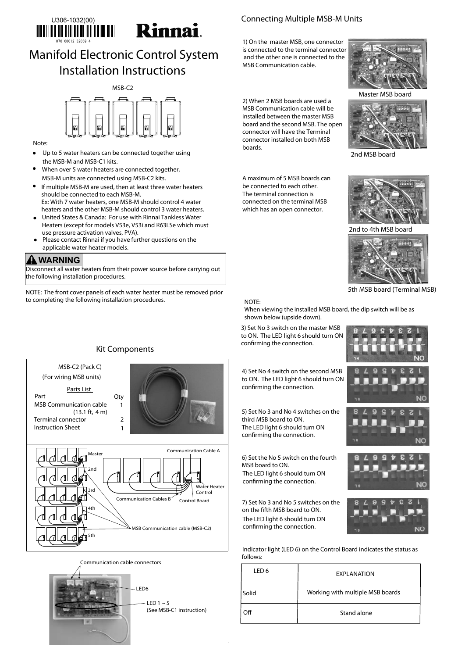#### Kit Components

MSB-C2 (Pack C)

Parts List Part Qty

(For wiring MSB units)

MSB Communication cable

Connecting Multiple MSB-M Units

1) On the master MSB, one connector is connected to the terminal connector and the other one is connected to the MSB Communication cable.



2) When 2 MSB boards are used a MSB Communication cable will be installed between the master MSB board and the second MSB. The open connector will have the Terminal connector installed on both MSB boards.



A maximum of 5 MSB boards can be connected to each other. The terminal connection is connected on the terminal MSB which has an open connector.



1

3) Set No 3 switch on the master MSB to ON. The LED light 6 should turn ON confirming the connection.

#### 5) Set No 3 and No 4 switches on the third MSB board to ON. The LED light 6 should turn ON confirming the connection.



#### Note:

- Up to 5 water heaters can be connected together using the MSB-M and MSB-C1 kits.
- When over 5 water heaters are connected together, MSB-M units are connected using MSB-C2 kits.
- If multiple MSB-M are used, then at least three water heaters should be connected to each MSB-M. Ex: With 7 water heaters, one MSB-M should control 4 water heaters and the other MSB-M should control 3 water heaters.
- United States & Canada: For use with Rinnai Tankless Water Heaters (except for models V53e, V53i and R63LSe which must use pressure activation valves, PVA).
- Please contact Rinnai if you have further questions on the applicable water heater models.  $\bullet$

Disconnect all water heaters from their power source before carrying out the following installation procedures.





NOTE: The front cover panels of each water heater must be removed prior to completing the following installation procedures.

#### **WARNING**





6) Set the No 5 switch on the fourth MSB board to ON. The LED light 6 should turn ON confirming the connection.

7) Set No 3 and No 5 switches on the on the fifth MSB board to ON. The LED light 6 should turn ON confirming the connection.



Master MSB board

2nd MSB board

5th MSB board (Terminal MSB)

2nd to 4th MSB board



| LED 6      | EXPLANATION                      |
|------------|----------------------------------|
| Solid      | Working with multiple MSB boards |
| <b>Off</b> | Stand alone                      |

Indicator light (LED 6) on the Control Board indicates the status as follows:

4) Set No 4 switch on the second MSB to ON. The LED light 6 should turn ON

LED6 LED 1  $\sim$  5 (See MSB-C1 instruction) Communication cable connectors

confirming the connection.





# Manifold Electronic Control System Installation Instructions

#### NOTE:

When viewing the installed MSB board, the dip switch will be as shown below (upside down).